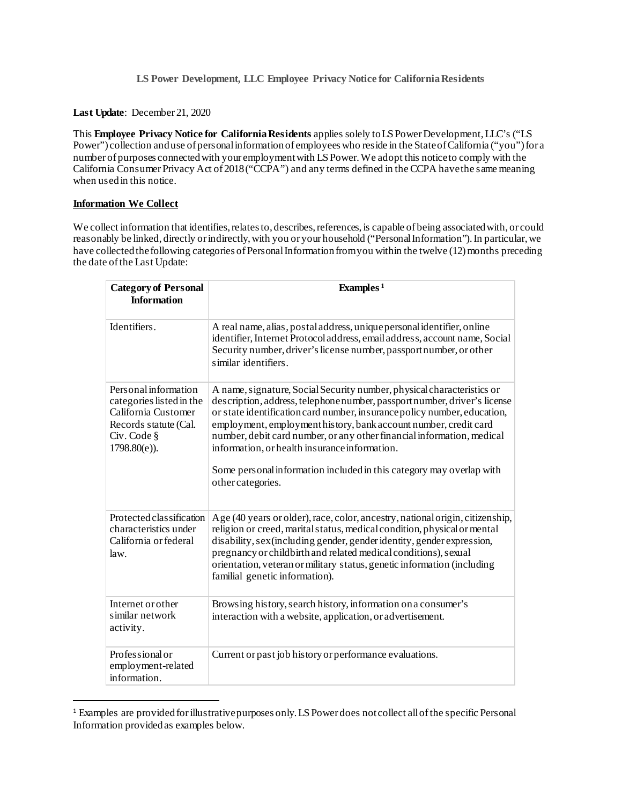**Last Update**: December 21, 2020

This **Employee Privacy Notice for California Residents** applies solely to LS Power Development, LLC's ("LS Power") collection and use of personal information of employees who reside in the State of California ("you") for a number of purposes connected with your employment with LS Power.We adopt this notice to comply with the California Consumer Privacy Act of 2018 ("CCPA") and any terms defined in the CCPA have the same meaning when used in this notice.

# **Information We Collect**

We collect information that identifies, relates to, describes, references, is capable of being associated with, or could reasonably be linked, directly or indirectly, with you or your household ("Personal Information"). In particular, we have collected the following categories of Personal Information from you within the twelve (12) months preceding the date of the Last Update:

| <b>Category of Personal</b><br><b>Information</b>                                                                                  | Examples <sup>1</sup>                                                                                                                                                                                                                                                                                                                                                                                                                                                                                                      |
|------------------------------------------------------------------------------------------------------------------------------------|----------------------------------------------------------------------------------------------------------------------------------------------------------------------------------------------------------------------------------------------------------------------------------------------------------------------------------------------------------------------------------------------------------------------------------------------------------------------------------------------------------------------------|
| Identifiers.                                                                                                                       | A real name, alias, postal address, unique personal identifier, online<br>identifier, Internet Protocol address, email address, account name, Social<br>Security number, driver's license number, passport number, or other<br>similar identifiers.                                                                                                                                                                                                                                                                        |
| Personal information<br>categories listed in the<br>California Customer<br>Records statute (Cal.<br>Civ. Code §<br>$1798.80(e)$ ). | A name, signature, Social Security number, physical characteristics or<br>description, address, telephone number, passport number, driver's license<br>or state identification card number, insurance policy number, education,<br>employment, employmenthistory, bank account number, credit card<br>number, debit card number, or any other financial information, medical<br>information, or health insurance information.<br>Some personal information included in this category may overlap with<br>other categories. |
| Protected classification<br>characteristics under<br>California or federal<br>law.                                                 | Age (40 years or older), race, color, ancestry, national origin, citizenship,<br>religion or creed, marital status, medical condition, physical or mental<br>disability, sex (including gender, gender identity, gender expression,<br>pregnancy or childbirth and related medical conditions), sexual<br>orientation, veteran or military status, genetic information (including<br>familial genetic information).                                                                                                        |
| Internet or other<br>similar network<br>activity.                                                                                  | Browsing history, search history, information on a consumer's<br>interaction with a website, application, or advertisement.                                                                                                                                                                                                                                                                                                                                                                                                |
| Professional or<br>employment-related<br>information.                                                                              | Current or past job history or performance evaluations.                                                                                                                                                                                                                                                                                                                                                                                                                                                                    |

<span id="page-0-0"></span> <sup>1</sup> Examples are provided for illustrative purposes only. LS Power does not collect all of the specific Personal Information provided as examples below.